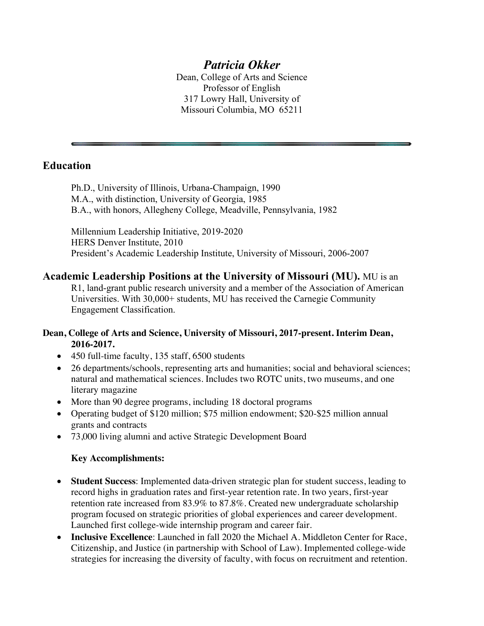# *Patricia Okker*

Dean, College of Arts and Science Professor of English 317 Lowry Hall, University of Missouri Columbia, MO 65211

### **Education**

Ph.D., University of Illinois, Urbana-Champaign, 1990 M.A., with distinction, University of Georgia, 1985 B.A., with honors, Allegheny College, Meadville, Pennsylvania, 1982

Millennium Leadership Initiative, 2019-2020 HERS Denver Institute, 2010 President's Academic Leadership Institute, University of Missouri, 2006-2007

**Academic Leadership Positions at the University of Missouri (MU).** MU is an R1, land-grant public research university and a member of the Association of American Universities. With 30,000+ students, MU has received the Carnegie Community Engagement Classification.

### **Dean, College of Arts and Science, University of Missouri, 2017-present. Interim Dean, 2016-2017.**

- 450 full-time faculty, 135 staff, 6500 students
- 26 departments/schools, representing arts and humanities; social and behavioral sciences; natural and mathematical sciences. Includes two ROTC units, two museums, and one literary magazine
- More than 90 degree programs, including 18 doctoral programs
- Operating budget of \$120 million; \$75 million endowment; \$20-\$25 million annual grants and contracts
- 73,000 living alumni and active Strategic Development Board

### **Key Accomplishments:**

- **Student Success**: Implemented data-driven strategic plan for student success, leading to record highs in graduation rates and first-year retention rate. In two years, first-year retention rate increased from 83.9% to 87.8%. Created new undergraduate scholarship program focused on strategic priorities of global experiences and career development. Launched first college-wide internship program and career fair.
- **Inclusive Excellence**: Launched in fall 2020 the Michael A. Middleton Center for Race, Citizenship, and Justice (in partnership with School of Law). Implemented college-wide strategies for increasing the diversity of faculty, with focus on recruitment and retention.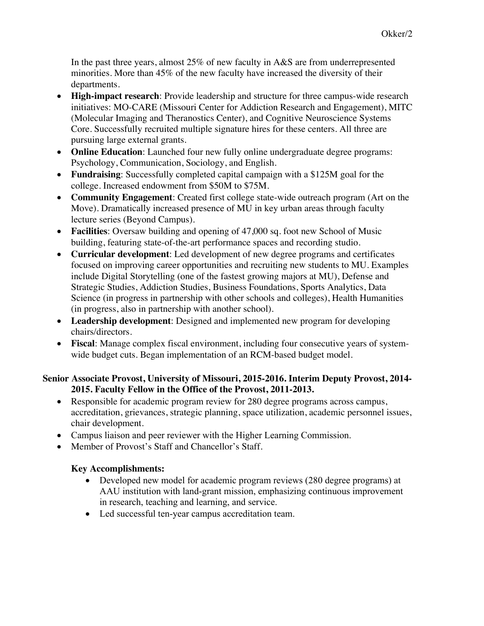In the past three years, almost 25% of new faculty in A&S are from underrepresented minorities. More than 45% of the new faculty have increased the diversity of their departments.

- **High-impact research**: Provide leadership and structure for three campus-wide research initiatives: MO-CARE (Missouri Center for Addiction Research and Engagement), MITC (Molecular Imaging and Theranostics Center), and Cognitive Neuroscience Systems Core. Successfully recruited multiple signature hires for these centers. All three are pursuing large external grants.
- **Online Education**: Launched four new fully online undergraduate degree programs: Psychology, Communication, Sociology, and English.
- **Fundraising**: Successfully completed capital campaign with a \$125M goal for the college. Increased endowment from \$50M to \$75M.
- **Community Engagement**: Created first college state-wide outreach program (Art on the Move). Dramatically increased presence of MU in key urban areas through faculty lecture series (Beyond Campus).
- **Facilities**: Oversaw building and opening of 47,000 sq. foot new School of Music building, featuring state-of-the-art performance spaces and recording studio.
- **Curricular development**: Led development of new degree programs and certificates focused on improving career opportunities and recruiting new students to MU. Examples include Digital Storytelling (one of the fastest growing majors at MU), Defense and Strategic Studies, Addiction Studies, Business Foundations, Sports Analytics, Data Science (in progress in partnership with other schools and colleges), Health Humanities (in progress, also in partnership with another school).
- **Leadership development**: Designed and implemented new program for developing chairs/directors.
- **Fiscal**: Manage complex fiscal environment, including four consecutive years of systemwide budget cuts. Began implementation of an RCM-based budget model.

### **Senior Associate Provost, University of Missouri, 2015-2016. Interim Deputy Provost, 2014- 2015. Faculty Fellow in the Office of the Provost, 2011-2013.**

- Responsible for academic program review for 280 degree programs across campus, accreditation, grievances, strategic planning, space utilization, academic personnel issues, chair development.
- Campus liaison and peer reviewer with the Higher Learning Commission.
- Member of Provost's Staff and Chancellor's Staff.

## **Key Accomplishments:**

- Developed new model for academic program reviews (280 degree programs) at AAU institution with land-grant mission, emphasizing continuous improvement in research, teaching and learning, and service.
- Led successful ten-year campus accreditation team.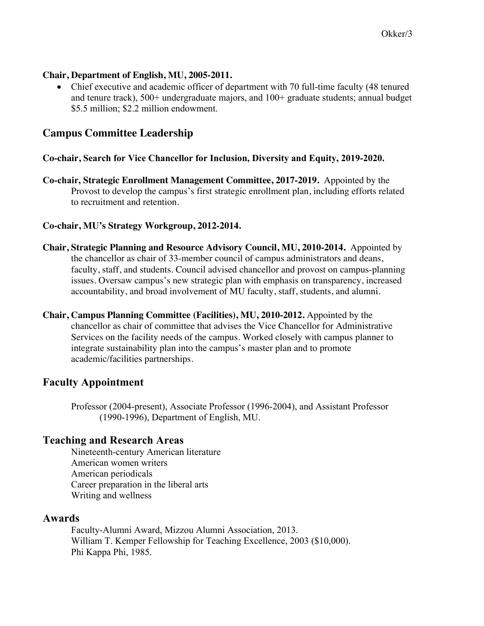#### **Chair, Department of English, MU, 2005-2011.**

• Chief executive and academic officer of department with 70 full-time faculty (48 tenured and tenure track), 500+ undergraduate majors, and 100+ graduate students; annual budget \$5.5 million; \$2.2 million endowment.

## **Campus Committee Leadership**

#### **Co-chair, Search for Vice Chancellor for Inclusion, Diversity and Equity, 2019-2020.**

**Co-chair, Strategic Enrollment Management Committee, 2017-2019.** Appointed by the Provost to develop the campus's first strategic enrollment plan, including efforts related to recruitment and retention.

### **Co-chair, MU's Strategy Workgroup, 2012-2014.**

- **Chair, Strategic Planning and Resource Advisory Council, MU, 2010-2014.** Appointed by the chancellor as chair of 33-member council of campus administrators and deans, faculty, staff, and students. Council advised chancellor and provost on campus-planning issues. Oversaw campus's new strategic plan with emphasis on transparency, increased accountability, and broad involvement of MU faculty, staff, students, and alumni.
- **Chair, Campus Planning Committee (Facilities), MU, 2010-2012.** Appointed by the chancellor as chair of committee that advises the Vice Chancellor for Administrative Services on the facility needs of the campus. Worked closely with campus planner to integrate sustainability plan into the campus's master plan and to promote academic/facilities partnerships.

## **Faculty Appointment**

Professor (2004-present), Associate Professor (1996-2004), and Assistant Professor (1990-1996), Department of English, MU.

## **Teaching and Research Areas**

Nineteenth-century American literature American women writers American periodicals Career preparation in the liberal arts Writing and wellness

### **Awards**

Faculty-Alumni Award, Mizzou Alumni Association, 2013. William T. Kemper Fellowship for Teaching Excellence, 2003 (\$10,000). Phi Kappa Phi, 1985.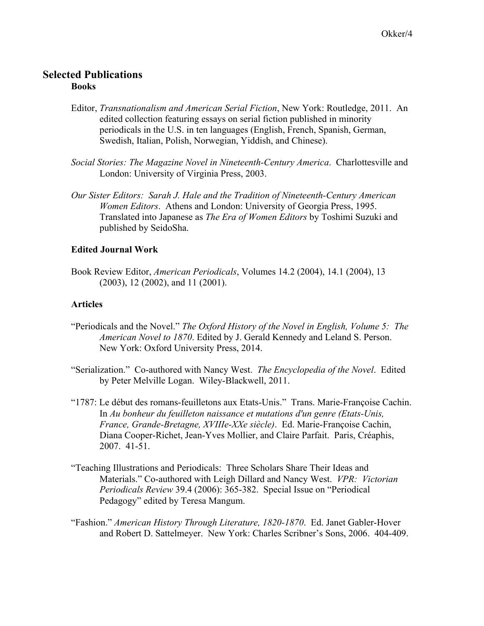### **Selected Publications Books**

- Editor, *Transnationalism and American Serial Fiction*, New York: Routledge, 2011. An edited collection featuring essays on serial fiction published in minority periodicals in the U.S. in ten languages (English, French, Spanish, German, Swedish, Italian, Polish, Norwegian, Yiddish, and Chinese).
- *Social Stories: The Magazine Novel in Nineteenth-Century America*. Charlottesville and London: University of Virginia Press, 2003.
- *Our Sister Editors: Sarah J. Hale and the Tradition of Nineteenth-Century American Women Editors*. Athens and London: University of Georgia Press, 1995. Translated into Japanese as *The Era of Women Editors* by Toshimi Suzuki and published by SeidoSha.

#### **Edited Journal Work**

Book Review Editor, *American Periodicals*, Volumes 14.2 (2004), 14.1 (2004), 13 (2003), 12 (2002), and 11 (2001).

#### **Articles**

- "Periodicals and the Novel." *The Oxford History of the Novel in English, Volume 5: The American Novel to 1870*. Edited by J. Gerald Kennedy and Leland S. Person. New York: Oxford University Press, 2014.
- "Serialization." Co-authored with Nancy West. *The Encyclopedia of the Novel*. Edited by Peter Melville Logan. Wiley-Blackwell, 2011.
- "1787: Le début des romans-feuilletons aux Etats-Unis." Trans. Marie-Françoise Cachin. In *Au bonheur du feuilleton naissance et mutations d'un genre (Etats-Unis, France, Grande-Bretagne, XVIIIe-XXe siècle)*. Ed. Marie-Françoise Cachin, Diana Cooper-Richet, Jean-Yves Mollier, and Claire Parfait. Paris, Créaphis, 2007. 41-51.
- "Teaching Illustrations and Periodicals: Three Scholars Share Their Ideas and Materials." Co-authored with Leigh Dillard and Nancy West. *VPR: Victorian Periodicals Review* 39.4 (2006): 365-382. Special Issue on "Periodical Pedagogy" edited by Teresa Mangum.
- "Fashion." *American History Through Literature, 1820-1870*. Ed. Janet Gabler-Hover and Robert D. Sattelmeyer. New York: Charles Scribner's Sons, 2006. 404-409.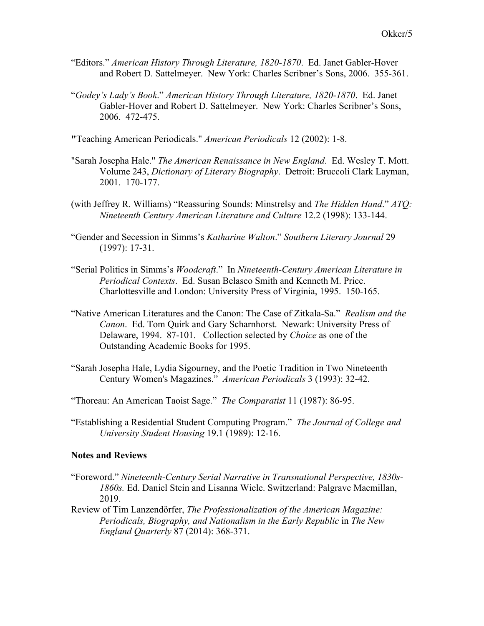- "Editors." *American History Through Literature, 1820-1870*. Ed. Janet Gabler-Hover and Robert D. Sattelmeyer. New York: Charles Scribner's Sons, 2006. 355-361.
- "*Godey's Lady's Book*." *American History Through Literature, 1820-1870*. Ed. Janet Gabler-Hover and Robert D. Sattelmeyer. New York: Charles Scribner's Sons, 2006. 472-475.
- **"**Teaching American Periodicals." *American Periodicals* 12 (2002): 1-8.
- "Sarah Josepha Hale." *The American Renaissance in New England*. Ed. Wesley T. Mott. Volume 243, *Dictionary of Literary Biography*. Detroit: Bruccoli Clark Layman, 2001. 170-177.
- (with Jeffrey R. Williams) "Reassuring Sounds: Minstrelsy and *The Hidden Hand*." *ATQ: Nineteenth Century American Literature and Culture* 12.2 (1998): 133-144.
- "Gender and Secession in Simms's *Katharine Walton*." *Southern Literary Journal* 29 (1997): 17-31.
- "Serial Politics in Simms's *Woodcraft*." In *Nineteenth-Century American Literature in Periodical Contexts*. Ed. Susan Belasco Smith and Kenneth M. Price. Charlottesville and London: University Press of Virginia, 1995. 150-165.
- "Native American Literatures and the Canon: The Case of Zitkala-Sa." *Realism and the Canon*. Ed. Tom Quirk and Gary Scharnhorst. Newark: University Press of Delaware, 1994. 87-101. Collection selected by *Choice* as one of the Outstanding Academic Books for 1995.
- "Sarah Josepha Hale, Lydia Sigourney, and the Poetic Tradition in Two Nineteenth Century Women's Magazines." *American Periodicals* 3 (1993): 32-42.
- "Thoreau: An American Taoist Sage." *The Comparatist* 11 (1987): 86-95.
- "Establishing a Residential Student Computing Program." *The Journal of College and University Student Housing* 19.1 (1989): 12-16.

#### **Notes and Reviews**

- "Foreword." *Nineteenth-Century Serial Narrative in Transnational Perspective, 1830s-1860s.* Ed. Daniel Stein and Lisanna Wiele. Switzerland: Palgrave Macmillan, 2019.
- Review of Tim Lanzendörfer, *The Professionalization of the American Magazine: Periodicals, Biography, and Nationalism in the Early Republic in The New England Quarterly* 87 (2014): 368-371.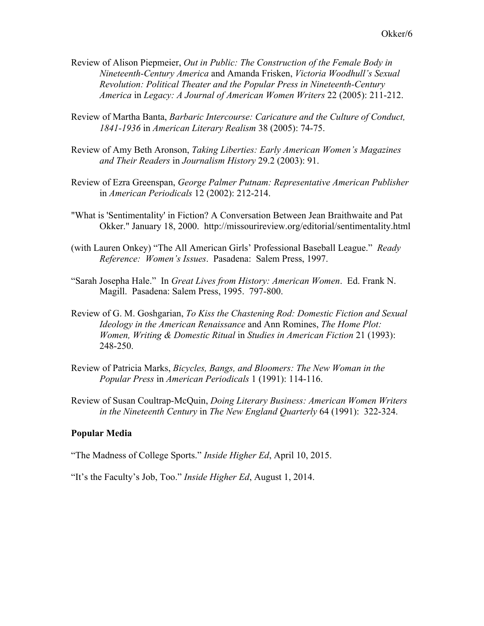- Review of Alison Piepmeier, *Out in Public: The Construction of the Female Body in Nineteenth-Century America* and Amanda Frisken, *Victoria Woodhull's Sexual Revolution: Political Theater and the Popular Press in Nineteenth-Century America* in *Legacy: A Journal of American Women Writers* 22 (2005): 211-212.
- Review of Martha Banta, *Barbaric Intercourse: Caricature and the Culture of Conduct, 1841-1936* in *American Literary Realism* 38 (2005): 74-75.
- Review of Amy Beth Aronson, *Taking Liberties: Early American Women's Magazines and Their Readers* in *Journalism History* 29.2 (2003): 91.
- Review of Ezra Greenspan, *George Palmer Putnam: Representative American Publisher* in *American Periodicals* 12 (2002): 212-214.
- "What is 'Sentimentality' in Fiction? A Conversation Between Jean Braithwaite and Pat Okker." January 18, 2000. http://missourireview.org/editorial/sentimentality.html
- (with Lauren Onkey) "The All American Girls' Professional Baseball League." *Ready Reference: Women's Issues*. Pasadena: Salem Press, 1997.
- "Sarah Josepha Hale." In *Great Lives from History: American Women*. Ed. Frank N. Magill. Pasadena: Salem Press, 1995. 797-800.
- Review of G. M. Goshgarian, *To Kiss the Chastening Rod: Domestic Fiction and Sexual Ideology in the American Renaissance* and Ann Romines, *The Home Plot: Women, Writing & Domestic Ritual* in *Studies in American Fiction* 21 (1993): 248-250.
- Review of Patricia Marks, *Bicycles, Bangs, and Bloomers: The New Woman in the Popular Press* in *American Periodicals* 1 (1991): 114-116.
- Review of Susan Coultrap-McQuin, *Doing Literary Business: American Women Writers in the Nineteenth Century* in *The New England Quarterly* 64 (1991): 322-324.

#### **Popular Media**

"The Madness of College Sports." *Inside Higher Ed*, April 10, 2015.

"It's the Faculty's Job, Too." *Inside Higher Ed*, August 1, 2014.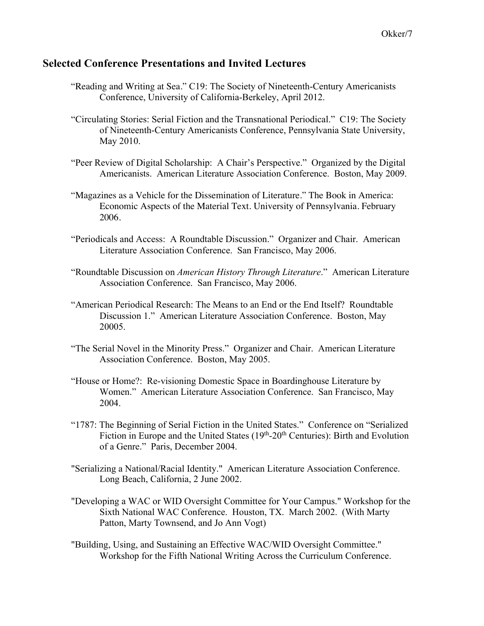### **Selected Conference Presentations and Invited Lectures**

- "Reading and Writing at Sea." C19: The Society of Nineteenth-Century Americanists Conference, University of California-Berkeley, April 2012.
- "Circulating Stories: Serial Fiction and the Transnational Periodical." C19: The Society of Nineteenth-Century Americanists Conference, Pennsylvania State University, May 2010.
- "Peer Review of Digital Scholarship: A Chair's Perspective." Organized by the Digital Americanists. American Literature Association Conference. Boston, May 2009.
- "Magazines as a Vehicle for the Dissemination of Literature." The Book in America: Economic Aspects of the Material Text. University of Pennsylvania. February 2006.
- "Periodicals and Access: A Roundtable Discussion." Organizer and Chair. American Literature Association Conference. San Francisco, May 2006.
- "Roundtable Discussion on *American History Through Literature*." American Literature Association Conference. San Francisco, May 2006.
- "American Periodical Research: The Means to an End or the End Itself? Roundtable Discussion 1." American Literature Association Conference. Boston, May 20005.
- "The Serial Novel in the Minority Press." Organizer and Chair. American Literature Association Conference. Boston, May 2005.
- "House or Home?: Re-visioning Domestic Space in Boardinghouse Literature by Women." American Literature Association Conference. San Francisco, May 2004.
- "1787: The Beginning of Serial Fiction in the United States." Conference on "Serialized Fiction in Europe and the United States  $(19<sup>th</sup>-20<sup>th</sup>$  Centuries): Birth and Evolution of a Genre." Paris, December 2004.
- "Serializing a National/Racial Identity." American Literature Association Conference. Long Beach, California, 2 June 2002.
- "Developing a WAC or WID Oversight Committee for Your Campus." Workshop for the Sixth National WAC Conference. Houston, TX. March 2002. (With Marty Patton, Marty Townsend, and Jo Ann Vogt)
- "Building, Using, and Sustaining an Effective WAC/WID Oversight Committee." Workshop for the Fifth National Writing Across the Curriculum Conference.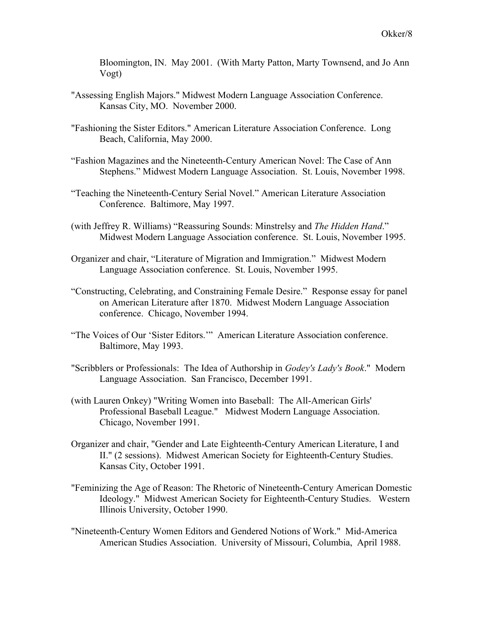Bloomington, IN. May 2001. (With Marty Patton, Marty Townsend, and Jo Ann Vogt)

- "Assessing English Majors." Midwest Modern Language Association Conference. Kansas City, MO. November 2000.
- "Fashioning the Sister Editors." American Literature Association Conference. Long Beach, California, May 2000.
- "Fashion Magazines and the Nineteenth-Century American Novel: The Case of Ann Stephens." Midwest Modern Language Association. St. Louis, November 1998.
- "Teaching the Nineteenth-Century Serial Novel." American Literature Association Conference. Baltimore, May 1997.
- (with Jeffrey R. Williams) "Reassuring Sounds: Minstrelsy and *The Hidden Hand*." Midwest Modern Language Association conference. St. Louis, November 1995.
- Organizer and chair, "Literature of Migration and Immigration." Midwest Modern Language Association conference. St. Louis, November 1995.
- "Constructing, Celebrating, and Constraining Female Desire." Response essay for panel on American Literature after 1870. Midwest Modern Language Association conference. Chicago, November 1994.
- "The Voices of Our 'Sister Editors.'" American Literature Association conference. Baltimore, May 1993.
- "Scribblers or Professionals: The Idea of Authorship in *Godey's Lady's Book*." Modern Language Association. San Francisco, December 1991.
- (with Lauren Onkey) "Writing Women into Baseball: The All-American Girls' Professional Baseball League." Midwest Modern Language Association. Chicago, November 1991.
- Organizer and chair, "Gender and Late Eighteenth-Century American Literature, I and II." (2 sessions). Midwest American Society for Eighteenth-Century Studies. Kansas City, October 1991.
- "Feminizing the Age of Reason: The Rhetoric of Nineteenth-Century American Domestic Ideology." Midwest American Society for Eighteenth-Century Studies. Western Illinois University, October 1990.
- "Nineteenth-Century Women Editors and Gendered Notions of Work." Mid-America American Studies Association. University of Missouri, Columbia, April 1988.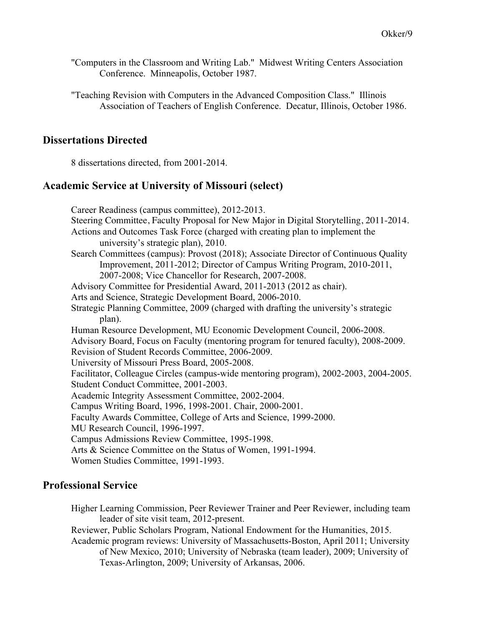"Computers in the Classroom and Writing Lab." Midwest Writing Centers Association Conference. Minneapolis, October 1987.

"Teaching Revision with Computers in the Advanced Composition Class." Illinois Association of Teachers of English Conference. Decatur, Illinois, October 1986.

# **Dissertations Directed**

8 dissertations directed, from 2001-2014.

#### **Academic Service at University of Missouri (select)**

Career Readiness (campus committee), 2012-2013. Steering Committee, Faculty Proposal for New Major in Digital Storytelling, 2011-2014. Actions and Outcomes Task Force (charged with creating plan to implement the university's strategic plan), 2010. Search Committees (campus): Provost (2018); Associate Director of Continuous Quality Improvement, 2011-2012; Director of Campus Writing Program, 2010-2011, 2007-2008; Vice Chancellor for Research, 2007-2008. Advisory Committee for Presidential Award, 2011-2013 (2012 as chair). Arts and Science, Strategic Development Board, 2006-2010. Strategic Planning Committee, 2009 (charged with drafting the university's strategic plan). Human Resource Development, MU Economic Development Council, 2006-2008. Advisory Board, Focus on Faculty (mentoring program for tenured faculty), 2008-2009. Revision of Student Records Committee, 2006-2009. University of Missouri Press Board, 2005-2008. Facilitator, Colleague Circles (campus-wide mentoring program), 2002-2003, 2004-2005. Student Conduct Committee, 2001-2003. Academic Integrity Assessment Committee, 2002-2004. Campus Writing Board, 1996, 1998-2001. Chair, 2000-2001. Faculty Awards Committee, College of Arts and Science, 1999-2000. MU Research Council, 1996-1997. Campus Admissions Review Committee, 1995-1998. Arts & Science Committee on the Status of Women, 1991-1994. Women Studies Committee, 1991-1993.

#### **Professional Service**

Higher Learning Commission, Peer Reviewer Trainer and Peer Reviewer, including team leader of site visit team, 2012-present.

Reviewer, Public Scholars Program, National Endowment for the Humanities, 2015.

Academic program reviews: University of Massachusetts-Boston, April 2011; University of New Mexico, 2010; University of Nebraska (team leader), 2009; University of Texas-Arlington, 2009; University of Arkansas, 2006.